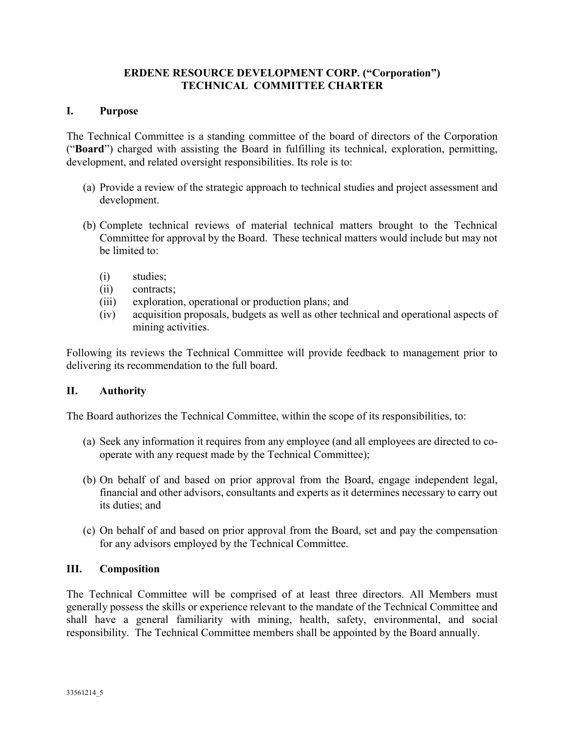# ERDENE RESOURCE DEVELOPMENT CORP. ("Corporation") TECHNICAL COMMITTEE CHARTER

## I. Purpose

The Technical Committee is a standing committee of the board of directors of the Corporation ("Board") charged with assisting the Board in fulfilling its technical, exploration, permitting, development, and related oversight responsibilities. Its role is to:

- (a) Provide a review of the strategic approach to technical studies and project assessment and development.
- (b) Complete technical reviews of material technical matters brought to the Technical Committee for approval by the Board. These technical matters would include but may not be limited to:
	- (i) studies;
	- (ii) contracts;
	- (iii) exploration, operational or production plans; and
	- (iv) acquisition proposals, budgets as well as other technical and operational aspects of mining activities.

Following its reviews the Technical Committee will provide feedback to management prior to delivering its recommendation to the full board.

## II. Authority

The Board authorizes the Technical Committee, within the scope of its responsibilities, to:

- (a) Seek any information it requires from any employee (and all employees are directed to cooperate with any request made by the Technical Committee);
- (b) On behalf of and based on prior approval from the Board, engage independent legal, financial and other advisors, consultants and experts as it determines necessary to carry out its duties; and
- (c) On behalf of and based on prior approval from the Board, set and pay the compensation for any advisors employed by the Technical Committee.

## III. Composition

The Technical Committee will be comprised of at least three directors. All Members must generally possess the skills or experience relevant to the mandate of the Technical Committee and shall have a general familiarity with mining, health, safety, environmental, and social responsibility. The Technical Committee members shall be appointed by the Board annually.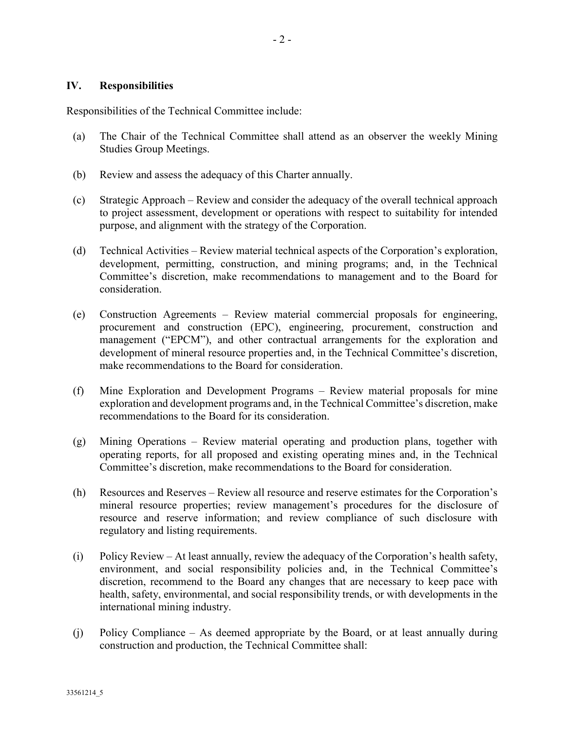#### IV. Responsibilities

Responsibilities of the Technical Committee include:

- (a) The Chair of the Technical Committee shall attend as an observer the weekly Mining Studies Group Meetings.
- (b) Review and assess the adequacy of this Charter annually.
- (c) Strategic Approach Review and consider the adequacy of the overall technical approach to project assessment, development or operations with respect to suitability for intended purpose, and alignment with the strategy of the Corporation.
- (d) Technical Activities Review material technical aspects of the Corporation's exploration, development, permitting, construction, and mining programs; and, in the Technical Committee's discretion, make recommendations to management and to the Board for consideration.
- (e) Construction Agreements Review material commercial proposals for engineering, procurement and construction (EPC), engineering, procurement, construction and management ("EPCM"), and other contractual arrangements for the exploration and development of mineral resource properties and, in the Technical Committee's discretion, make recommendations to the Board for consideration.
- (f) Mine Exploration and Development Programs Review material proposals for mine exploration and development programs and, in the Technical Committee's discretion, make recommendations to the Board for its consideration.
- (g) Mining Operations Review material operating and production plans, together with operating reports, for all proposed and existing operating mines and, in the Technical Committee's discretion, make recommendations to the Board for consideration.
- (h) Resources and Reserves Review all resource and reserve estimates for the Corporation's mineral resource properties; review management's procedures for the disclosure of resource and reserve information; and review compliance of such disclosure with regulatory and listing requirements.
- (i) Policy Review At least annually, review the adequacy of the Corporation's health safety, environment, and social responsibility policies and, in the Technical Committee's discretion, recommend to the Board any changes that are necessary to keep pace with health, safety, environmental, and social responsibility trends, or with developments in the international mining industry.
- (j) Policy Compliance As deemed appropriate by the Board, or at least annually during construction and production, the Technical Committee shall: